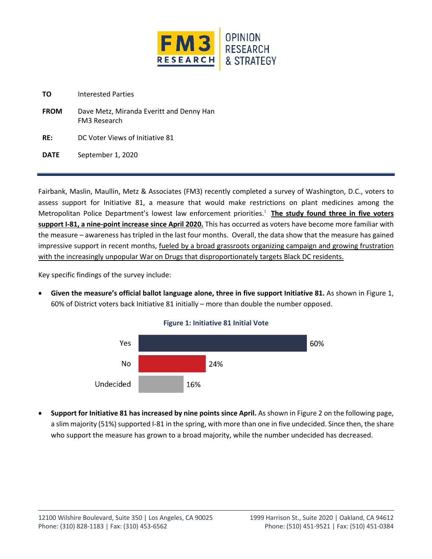

**TO** Interested Parties

- **FROM** Dave Metz, Miranda Everitt and Denny Han FM3 Research
- **RE:** DC Voter Views of Initiative 81

**DATE** September 1, 2020

Fairbank, Maslin, Maullin, Metz & Associates (FM3) recently completed a survey of Washington, D.C., voters to assess support for Initiative 81, a measure that would make restrictions on plant medicines among the Metropolitan Police Department's lowest law enforcement priorities.<sup>i</sup> The study found three in five voters **support I-81, a nine-point increase since April 2020.** This has occurred as voters have become more familiar with the measure – awareness has tripled in the last four months. Overall, the data show that the measure has gained impressive support in recent months, fueled by a broad grassroots organizing campaign and growing frustration with the increasingly unpopular War on Drugs that disproportionately targets Black DC residents.

Key specific findings of the survey include:

• **Given the measure's official ballot language alone, three in five support Initiative 81.** As shown in Figure 1, 60% of District voters back Initiative 81 initially – more than double the number opposed.





• **Support for Initiative 81 has increased by nine points since April.** As shown in Figure 2 on the following page, a slim majority (51%) supported I-81 in the spring, with more than one in five undecided. Since then, the share who support the measure has grown to a broad majority, while the number undecided has decreased.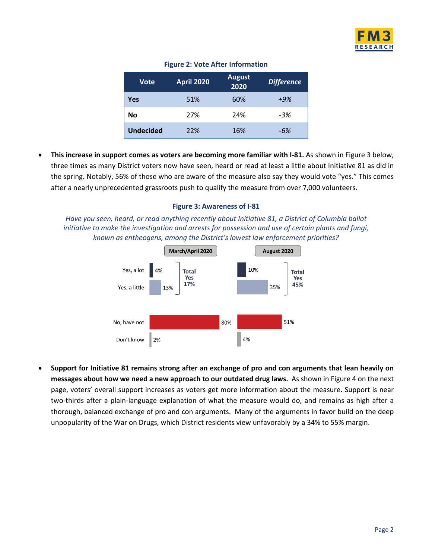

| <b>Vote</b>      | <b>April 2020</b> | <b>August</b><br>2020 | <b>Difference</b> |  |
|------------------|-------------------|-----------------------|-------------------|--|
| Yes              | 51%               | 60%                   | $+9%$             |  |
| No               | 27%               | 24%                   | $-3%$             |  |
| <b>Undecided</b> | 22%               | 16%                   | -6%               |  |

## **Figure 2: Vote After Information**

• **This increase in support comes as voters are becoming more familiar with I-81.** As shown in Figure 3 below, three times as many District voters now have seen, heard or read at least a little about Initiative 81 as did in the spring. Notably, 56% of those who are aware of the measure also say they would vote "yes." This comes after a nearly unprecedented grassroots push to qualify the measure from over 7,000 volunteers.

## **Figure 3: Awareness of I-81**

*Have you seen, heard, or read anything recently about Initiative 81, a District of Columbia ballot initiative to make the investigation and arrests for possession and use of certain plants and fungi, known as entheogens, among the District's lowest law enforcement priorities?* 



• **Support for Initiative 81 remains strong after an exchange of pro and con arguments that lean heavily on messages about how we need a new approach to our outdated drug laws.** As shown in Figure 4 on the next page, voters' overall support increases as voters get more information about the measure. Support is near two-thirds after a plain-language explanation of what the measure would do, and remains as high after a thorough, balanced exchange of pro and con arguments. Many of the arguments in favor build on the deep unpopularity of the War on Drugs, which District residents view unfavorably by a 34% to 55% margin.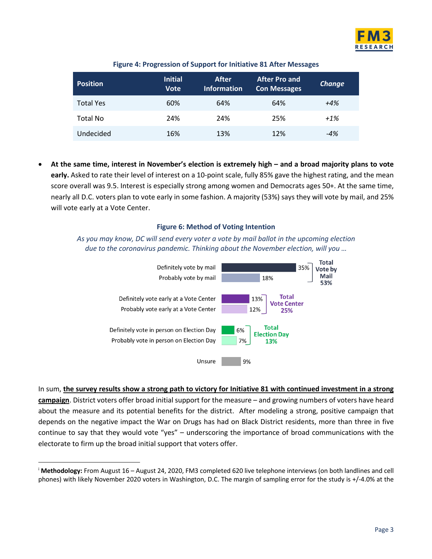

| <b>Position</b>  | <b>Initial</b><br><b>Vote</b> | After<br>Information | <b>After Pro and</b><br><b>Con Messages</b> | <b>Change</b> |
|------------------|-------------------------------|----------------------|---------------------------------------------|---------------|
| <b>Total Yes</b> | 60%                           | 64%                  | 64%                                         | $+4%$         |
| Total No         | 24%                           | 24%                  | 25%                                         | $+1\%$        |
| Undecided        | 16%                           | 13%                  | 12%                                         | $-4%$         |

## **Figure 4: Progression of Support for Initiative 81 After Messages**

• **At the same time, interest in November's election is extremely high – and a broad majority plans to vote early.** Asked to rate their level of interest on a 10-point scale, fully 85% gave the highest rating, and the mean score overall was 9.5. Interest is especially strong among women and Democrats ages 50+. At the same time, nearly all D.C. voters plan to vote early in some fashion. A majority (53%) says they will vote by mail, and 25% will vote early at a Vote Center.

## **Figure 6: Method of Voting Intention**

*As you may know, DC will send every voter a vote by mail ballot in the upcoming election due to the coronavirus pandemic. Thinking about the November election, will you …* 



In sum, **the survey results show a strong path to victory for Initiative 81 with continued investment in a strong campaign**. District voters offer broad initial support for the measure – and growing numbers of voters have heard about the measure and its potential benefits for the district. After modeling a strong, positive campaign that depends on the negative impact the War on Drugs has had on Black District residents, more than three in five continue to say that they would vote "yes" – underscoring the importance of broad communications with the electorate to firm up the broad initial support that voters offer.

<sup>i</sup> **Methodology:** From August 16 – August 24, 2020, FM3 completed 620 live telephone interviews (on both landlines and cell phones) with likely November 2020 voters in Washington, D.C. The margin of sampling error for the study is +/-4.0% at the